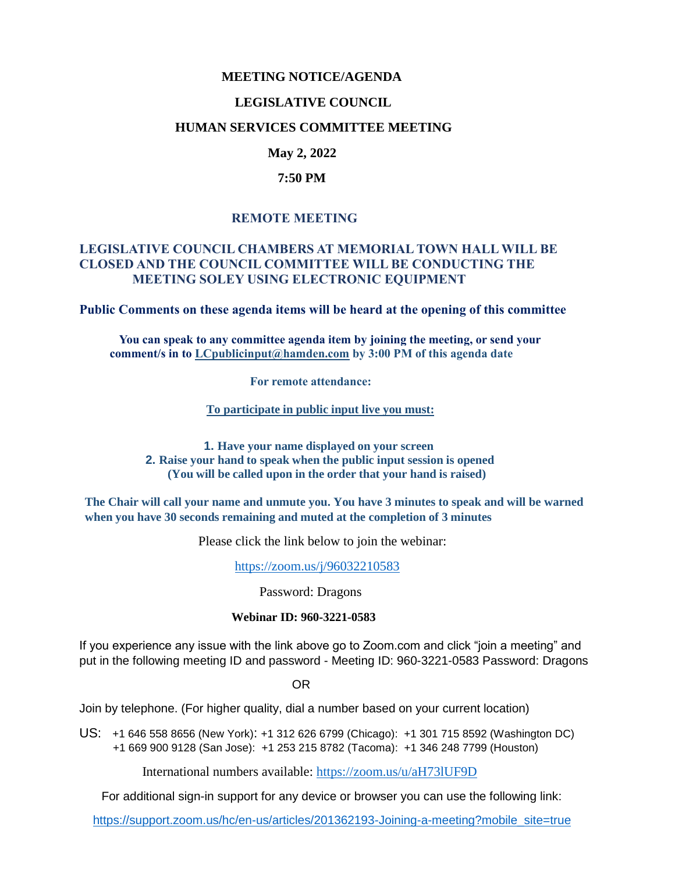### **MEETING NOTICE/AGENDA**

#### **LEGISLATIVE COUNCIL**

#### **HUMAN SERVICES COMMITTEE MEETING**

## **May 2, 2022**

#### **7:50 PM**

### **REMOTE MEETING**

### **LEGISLATIVE COUNCIL CHAMBERS AT MEMORIAL TOWN HALL WILL BE CLOSED AND THE COUNCIL COMMITTEE WILL BE CONDUCTING THE MEETING SOLEY USING ELECTRONIC EQUIPMENT**

**Public Comments on these agenda items will be heard at the opening of this committee** 

 **You can speak to any committee agenda item by joining the meeting, or send your comment/s in to [LCpublicinput@hamden.com](mailto:LCpublicinput@hamden.com) by 3:00 PM of this agenda date**

 **For remote attendance:**

**To participate in public input live you must:**

**1. Have your name displayed on your screen 2. Raise your hand to speak when the public input session is opened (You will be called upon in the order that your hand is raised)**

**The Chair will call your name and unmute you. You have 3 minutes to speak and will be warned when you have 30 seconds remaining and muted at the completion of 3 minutes**

Please click the link below to join the webinar:

<https://zoom.us/j/96032210583>

Password: Dragons

#### **Webinar ID: 960-3221-0583**

If you experience any issue with the link above go to Zoom.com and click "join a meeting" and put in the following meeting ID and password - Meeting ID: 960-3221-0583 Password: Dragons

OR

Join by telephone. (For higher quality, dial a number based on your current location)

US: [+1 646 558 8656 \(New York\)](tel:+16465588656): [+1 312 626 6799 \(Chicago\):](tel:+13126266799) [+1 301 715 8592 \(Washington DC\)](tel:+13017158592) +1 669 900 9128 (San Jose): [+1 253 215 8782 \(Tacoma\):](tel:+12532158782) [+1 346 248 7799 \(Houston\)](tel:+13462487799)

International numbers available:<https://zoom.us/u/aH73lUF9D>

For additional sign-in support for any device or browser you can use the following link:

[https://support.zoom.us/hc/en-us/articles/201362193-Joining-a-meeting?mobile\\_site=true](https://support.zoom.us/hc/en-us/articles/201362193-Joining-a-meeting?mobile_site=true)